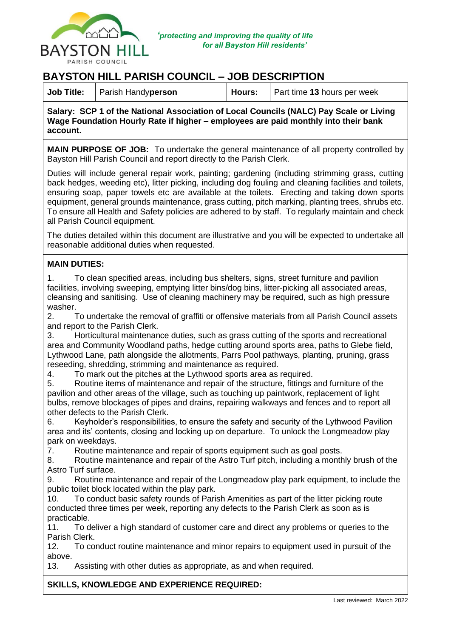

## **BAYSTON HILL PARISH COUNCIL – JOB DESCRIPTION**

|  | <b>Job Title:</b>   Parish Handyperson | Hours: | Part time 13 hours per week |
|--|----------------------------------------|--------|-----------------------------|
|--|----------------------------------------|--------|-----------------------------|

**Salary: SCP 1 of the National Association of Local Councils (NALC) Pay Scale or Living Wage Foundation Hourly Rate if higher – employees are paid monthly into their bank account.**

**MAIN PURPOSE OF JOB:** To undertake the general maintenance of all property controlled by Bayston Hill Parish Council and report directly to the Parish Clerk.

Duties will include general repair work, painting; gardening (including strimming grass, cutting back hedges, weeding etc), litter picking, including dog fouling and cleaning facilities and toilets, ensuring soap, paper towels etc are available at the toilets. Erecting and taking down sports equipment, general grounds maintenance, grass cutting, pitch marking, planting trees, shrubs etc. To ensure all Health and Safety policies are adhered to by staff. To regularly maintain and check all Parish Council equipment.

The duties detailed within this document are illustrative and you will be expected to undertake all reasonable additional duties when requested.

## **MAIN DUTIES:**

1. To clean specified areas, including bus shelters, signs, street furniture and pavilion facilities, involving sweeping, emptying litter bins/dog bins, litter-picking all associated areas, cleansing and sanitising. Use of cleaning machinery may be required, such as high pressure washer.

2. To undertake the removal of graffiti or offensive materials from all Parish Council assets and report to the Parish Clerk.

3. Horticultural maintenance duties, such as grass cutting of the sports and recreational area and Community Woodland paths, hedge cutting around sports area, paths to Glebe field, Lythwood Lane, path alongside the allotments, Parrs Pool pathways, planting, pruning, grass reseeding, shredding, strimming and maintenance as required.

4. To mark out the pitches at the Lythwood sports area as required.

5. Routine items of maintenance and repair of the structure, fittings and furniture of the pavilion and other areas of the village, such as touching up paintwork, replacement of light bulbs, remove blockages of pipes and drains, repairing walkways and fences and to report all other defects to the Parish Clerk.

6. Keyholder's responsibilities, to ensure the safety and security of the Lythwood Pavilion area and its' contents, closing and locking up on departure. To unlock the Longmeadow play park on weekdays.

7. Routine maintenance and repair of sports equipment such as goal posts.

8. Routine maintenance and repair of the Astro Turf pitch, including a monthly brush of the Astro Turf surface.

9. Routine maintenance and repair of the Longmeadow play park equipment, to include the public toilet block located within the play park.

10. To conduct basic safety rounds of Parish Amenities as part of the litter picking route conducted three times per week, reporting any defects to the Parish Clerk as soon as is practicable.

11. To deliver a high standard of customer care and direct any problems or queries to the Parish Clerk.

12. To conduct routine maintenance and minor repairs to equipment used in pursuit of the above.

13. Assisting with other duties as appropriate, as and when required.

## **SKILLS, KNOWLEDGE AND EXPERIENCE REQUIRED:**